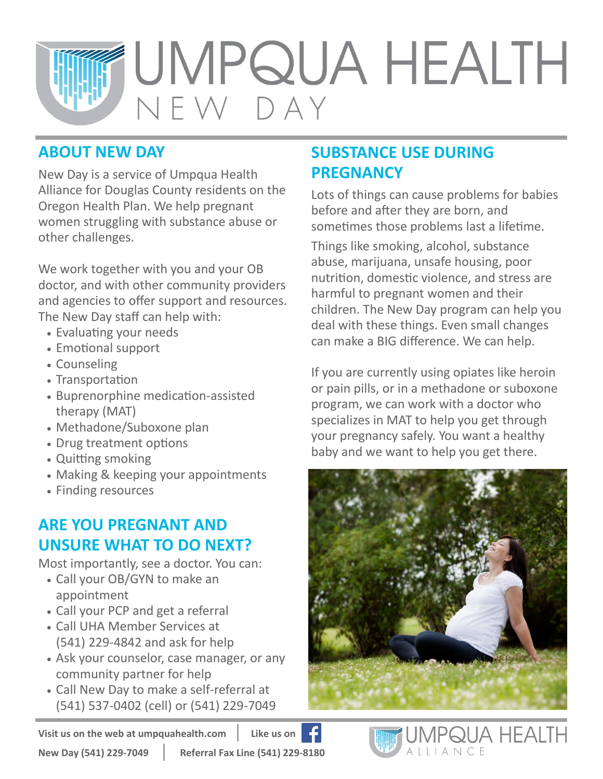### Z Е. t. Z

 $\cdot \mu$  u  $\rightarrow$  l  $\cdot$  $\zeta$   $\overline{E}$   $\mu \mathbb{E}$   $\cdot$  $x d \tE \t%$   $] \cdot \dot{S}$ " μ‰∉ ν}Œ (]ν - D d •<br>x W o ν u š }ν l • μ }Æ}ν<br>x K ‰ ]}ν • šŒ š u] νš} ( Œ u }ο • P] }  $\begin{array}{ccc} x & i & \stackrel{\cdot}{\mathbb{C}} & ( \mu \cup \mathbb{C} \\ x & y & \stackrel{\cdot}{\mathbb{C}} & ( \mathbb{C} \times \mathbb{C} & \mathbb{C} \end{array}$  $U \vee \check{S} \vee E \cdot \mu \cdot ]\check{S}$  $x \cdot u$ } v } v š Œ Œ  $\mu$  Œ  $\cdot$  }  $\cdot$ Z N E K ^ d ^  $\land$  d  $\land$  D  $Z \cdot$ Y h  $Z$  $\wedge$  'h Z K / M E M K E d / E h > } < µ · u · ]u‰ } Œ š v š U } v • µ o š µ v  $U = \begin{bmatrix} 1 & 1 & 1 \end{bmatrix} X W U = W W$  $\begin{array}{ccccccccc} V & > O & U & & \bullet & \mu & \} & \bullet & \check{S} & \check{S} & \check{E} & |P] & V & & \bullet & O & |P \} & \%_{0} & \check{E} & & & \\ \%_{0} & \check{E} & \rbrace & P & \check{E} & & U & \check{E} & & \mu & V & \check{S} & \check{S} & & V & P & \mu & V & \check{E} & U & \bullet & V \\ V & > O & U & & \bullet & W & W & & & \bullet & \check{S} & \check{S} & \check{S} & V & P & \mu & V & \check{E} & U & \bullet & V & \bullet \\ V & > O &$  $V \sim \tilde{\Pi} \tilde{\partial} I \cdot \tilde{\Pi} \dot{\partial} I \cdot \tilde{\Pi} \dot{\partial} I \cdot \tilde{\Pi} \cdot \tilde{\Pi} \cdot \tilde{\Pi} \cdot \tilde{\Pi} \cdot \tilde{\Pi} \cdot \tilde{\Pi} \cdot \tilde{\Pi} \cdot \tilde{\Pi} \cdot \tilde{\Pi} \cdot \tilde{\Pi} \cdot \tilde{\Pi} \cdot \tilde{\Pi} \cdot \tilde{\Pi} \cdot \tilde{\Pi} \cdot \tilde{\Pi} \cdot \tilde{\Pi} \cdot \tilde{\Pi} \cdot \tilde{\Pi} \cdot \tilde{\Pi} \cdot \tilde{\Pi} \cdot \tilde{\Pi} \cdot \tilde{\Pi}$  $S \cdot S = S \vee \cdot V$  o  $\overline{A}$ │ v}uµ}u ‰}«μ}šŒ}•o š Zv X }u  $E \nightharpoonup$   $\hat{A}$   $C \nightharpoonup$   $\hat{O} \nightharpoonup \hat{O}$   $\hat{O} \nightharpoonup \hat{O}$   $\hat{O} \nightharpoonup \hat{O}$   $\hat{C}$   $\hat{A}$   $\hat{C}$   $\hat{C}$   $\hat{C}$   $\hat{C}$   $\hat{C}$   $\hat{C}$   $\hat{C}$   $\hat{C}$   $\hat{C}$   $\hat{C}$   $\hat{C}$   $\hat{C}$   $\hat{C}$   $\hat{C}$   $\hat{C}$